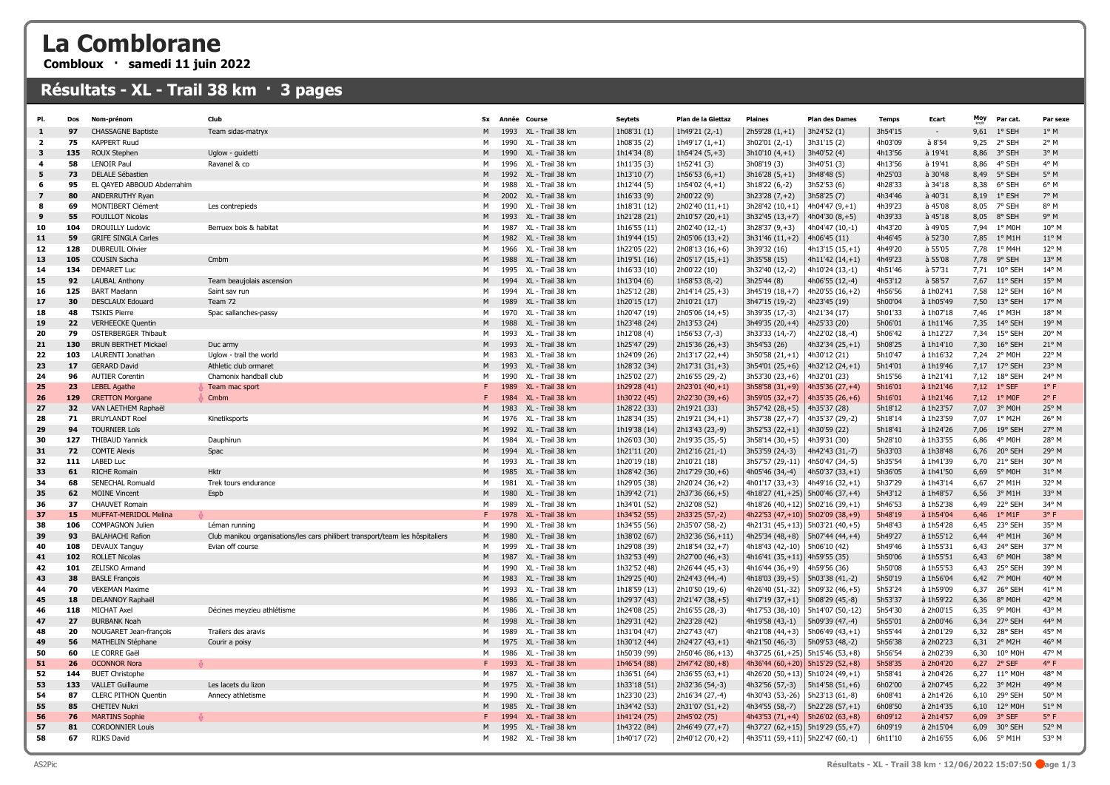## La Comblorane

Combloux · samedi 11 juin 2022

## Résultats - XL - Trail 38 km · 3 pages

| PI.            | Dos       | Nom-prénom                               | Club                                                                          | <b>Sx</b> | Année        | Course                               | <b>Seytets</b>               | Plan de la Giettaz                 | <b>Plaines</b>                         | <b>Plan des Dames</b>                    | <b>Temps</b>       | Ecart                  | Moy          | Par cat.          | Par sexe       |
|----------------|-----------|------------------------------------------|-------------------------------------------------------------------------------|-----------|--------------|--------------------------------------|------------------------------|------------------------------------|----------------------------------------|------------------------------------------|--------------------|------------------------|--------------|-------------------|----------------|
| $\mathbf{1}$   | 97        | <b>CHASSAGNE Baptiste</b>                | Team sidas-matryx                                                             | M         | 1993         | XL - Trail 38 km                     | 1h08'31 (1)                  | 1h49'21 (2,-1)                     | $2h59'28(1,+1)$                        | 3h24'52(1)                               | 3h54'15            | $\sim$                 | 9,61         | 1° SEH            | $1^{\circ}$ M  |
| $\overline{2}$ | 75        | <b>KAPPERT Ruud</b>                      |                                                                               | м         | 1990         | XL - Trail 38 km                     | 1h08'35 (2)                  | $1h49'17(1,+1)$                    | 3h02'01 (2,-1)                         | 3h31'15 (2)                              | 4h03'09            | à 8'54                 | 9,25         | 2° SEH            | $2^{\circ}$ M  |
| 3              | 135       | ROUX Stephen                             | Uglow - guidetti                                                              |           | 1990         | XL - Trail 38 km                     | 1h14'34 (8)                  | $1h54'24(5,+3)$                    | $3h10'10(4,+1)$                        | 3h40'52 (4)                              | 4h13'56            | à 19'41                | 8,86         | 3° SEH            | 3° M           |
| 4              | 58        | <b>LENOIR Paul</b>                       | Ravanel & co                                                                  | M         | 1996         | XL - Trail 38 km                     | 1h11'35 (3)                  | 1h52'41 (3)                        | 3h08'19 (3)                            | 3h40'51 (3)                              | 4h13'56            | à 19'41                | 8,86         | 4° SEH            | $4^{\circ}$ M  |
| 5              | 73        | DELALE Sébastien                         |                                                                               | M         | 1992         | XL - Trail 38 km                     | 1h13'10 (7)                  | 1h56'53 $(6, +1)$                  | $3h16'28(5,+1)$                        | 3h48'48 (5)                              | 4h25'03            | à 30'48                | 8,49         | 5° SEH            | $5^\circ$ M    |
| 6              | 95        | EL QAYED ABBOUD Abderrahim               |                                                                               | м         | 1988         | XL - Trail 38 km                     | 1h12'44 (5)                  | 1h54'02 $(4, +1)$                  | 3h18'22 (6,-2)                         | 3h52'53 (6)                              | 4h28'33            | à 34'18                | 8,38         | 6° SEH            | 6° M           |
| $\mathbf{z}$   | 80        | ANDERRUTHY Ryan                          |                                                                               |           | 2002         | XL - Trail 38 km                     | 1h16'33 (9)                  | 2h00'22 (9)                        | $3h23'28(7,+2)$                        | 3h58'25 (7)                              | 4h34'46            | à 40'31                | 8,19         | $1^{\circ}$ ESH   | 7° M           |
| 8              | 69        | MONTIBERT Clément                        | Les contrepieds                                                               | M         | 1990         | XL - Trail 38 km                     | 1h18'31 (12)                 | 2h02'40 (11,+1)                    | $3h28'42(10,+1)$                       | 4h04'47 $(9, +1)$                        | 4h39'23            | à 45'08                | 8,05         | 7° SEH            | 8° M           |
| 9              | 55        | <b>FOUILLOT Nicolas</b>                  |                                                                               | M         | 1993         | XL - Trail 38 km                     | 1h21'28 (21)                 | 2h10'57 (20,+1)                    | 3h32'45 (13,+7)                        | $4h04'30(8,+5)$                          | 4h39'33            | à 45'18                | 8,05         | 8° SEH            | 9° M           |
| 10             | 104       | <b>DROUILLY Ludovic</b>                  | Berruex bois & habitat                                                        | м         | 1987         | XL - Trail 38 km                     | 1h16'55 (11)                 | 2h02'40 (12,-1)                    | $3h28'37(9, +3)$                       | 4h04'47 (10,-1)                          | 4h43'20            | à 49'05                | 7,94         | 1° MOH            | 10° M          |
| 11             | 59        | <b>GRIFE SINGLA Carles</b>               |                                                                               |           | 1982         | XL - Trail 38 km                     | 1h19'44 (15)                 | 2h05'06 (13,+2)                    | $3h31'46(11,+2)$                       | 4h06'45 (11)                             | 4h46'45            | à 52'30                | 7,85         | $1^{\circ}$ M1H   | 11° M          |
| 12             | 128       | <b>DUBREUIL Olivier</b>                  |                                                                               | м         | 1966         | XL - Trail 38 km                     | 1h22'05 (22)                 | $2h08'13(16,+6)$                   | 3h39'32 (16)                           | $4h13'15(15,+1)$                         | 4h49'20            | à 55'05                | 7,78         | 1° M4H            | 12° M          |
| 13             | 105       | <b>COUSIN Sacha</b>                      | Cmbm                                                                          | M         | 1988         | XL - Trail 38 km                     | 1h19'51 (16)                 | $2h05'17(15,+1)$                   | 3h35'58 (15)                           | 4h11'42 (14,+1)                          | 4h49'23            | à 55'08                | 7,78         | 9° SEH            | 13° M          |
| 14             | 134       | <b>DEMARET Luc</b>                       |                                                                               | м         | 1995         | XL - Trail 38 km                     | 1h16'33 (10)                 | 2h00'22 (10)                       | 3h32'40 (12,-2)                        | 4h10'24 (13,-1)                          | 4h51'46            | à 57'31                | 7,71         | 10° SEH           | 14° M          |
| 15             | 92        | <b>LAUBAL Anthony</b>                    | Team beaujolais ascension                                                     | M         | 1994         | XL - Trail 38 km                     | 1h13'04 (6)                  | 1h58'53 (8,-2)                     | 3h25'44 (8)                            | 4h06'55 (12,-4)                          | 4h53'12            | à 58'57                | 7,67         | 11° SEH           | 15° M          |
| 16             | 125       | <b>BART Maelann</b>                      | Saint sav run                                                                 | M         | 1994         | XL - Trail 38 km                     | 1h25'12 (28)                 | 2h14'14 (25,+3)                    | 3h45'19 (18,+7)                        | 4h20'55 (16,+2)                          | 4h56'56            | à 1h02'41              | 7,58         | 12° SEH           | 16° M          |
| 17             | 30        | <b>DESCLAUX Edouard</b>                  | Team 72                                                                       | M         | 1989         | XL - Trail 38 km                     | 1h20'15 (17)                 | 2h10'21 (17)                       | 3h47'15 (19,-2)                        | 4h23'45 (19)                             | 5h00'04            | à 1h05'49              | 7,50         | 13° SEH           | 17° M          |
| 18             | 48        | <b>TSIKIS Pierre</b>                     | Spac sallanches-passy                                                         | м         | 1970         | XL - Trail 38 km                     | 1h20'47 (19)                 | 2h05'06 (14,+5)                    | 3h39'35 (17,-3)                        | 4h21'34 (17)                             | 5h01'33            | à 1h07'18              | 7,46         | 1° M3H            | 18° M          |
| 19             | 22        | <b>VERHEECKE Quentin</b>                 |                                                                               | M         | 1988         | XL - Trail 38 km                     | 1h23'48 (24)                 | 2h13'53 (24)                       | 3h49'35 (20,+4)                        | 4h25'33 (20)                             | 5h06'01            | à 1h11'46              | 7,35         | 14° SEH           | 19° M          |
| 20             | 79        | <b>OSTERBERGER Thibault</b>              |                                                                               | м         | 1993         | XL - Trail 38 km                     | 1h12'08 (4)                  | 1h56'53 (7,-3)                     | 3h33'33 (14,-7)                        | 4h22'02 (18,-4)                          | 5h06'42            | à 1h12'27              | 7,34         | 15° SEH           | 20° M          |
| 21             | 130       | <b>BRUN BERTHET Mickael</b>              | Duc army                                                                      | M         | 1993         | XL - Trail 38 km                     | 1h25'47 (29)                 | 2h15'36 (26,+3)                    | 3h54'53 (26)                           | 4h32'34 (25,+1)                          | 5h08'25            | à 1h14'10              | 7,30         | $16^{\circ}$ SEH  | $21^{\circ}$ M |
| 22<br>23       | 103<br>17 | LAURENTI Jonathan<br><b>GERARD David</b> | Uglow - trail the world                                                       | м<br>M    | 1983<br>1993 | XL - Trail 38 km<br>XL - Trail 38 km | 1h24'09 (26)                 | 2h13'17 (22,+4)                    | $3h50'58(21,+1)$                       | 4h30'12 (21)                             | 5h10'47<br>5h14'01 | à 1h16'32              | 7,24         | 2° MOH<br>17° SEH | 22° M<br>23° M |
| 24             | 96        | <b>AUTIER Corentin</b>                   | Athletic club ormaret<br>Chamonix handball club                               | м         | 1990         | XL - Trail 38 km                     | 1h28'32 (34)                 | 2h17'31 (31,+3)                    | 3h54'01 (25,+6)                        | $4h32'12(24,+1)$                         | 5h15'56            | à 1h19'46<br>à 1h21'41 | 7,17<br>7,12 | 18° SEH           | 24° M          |
| 25             | 23        | <b>LEBEL Agathe</b>                      | Team mac sport                                                                |           | 1989         | XL - Trail 38 km                     | 1h25'02 (27)                 | 2h16'55 (29,-2)<br>2h23'01 (40,+1) | 3h53'30 (23,+6)                        | 4h32'01 (23)                             | 5h16'01            | à 1h21'46              | 7,12         | $1°$ SEF          | $1^{\circ}$ F  |
| 26             | 129       | <b>CRETTON Morgane</b>                   | Cmbm                                                                          |           | 1984         | XL - Trail 38 km                     | 1h29'28 (41)<br>1h30'22 (45) | 2h22'30 (39,+6)                    | $3h58'58(31,+9)$<br>3h59'05 (32,+7)    | 4h35'36 $(27, +4)$<br>$ 4h35'35(26,+6) $ | 5h16'01            | à 1h21'46              | 7,12         | $1^{\circ}$ MOF   | $2^{\circ}$ F  |
| 27             | 32        | VAN LAETHEM Raphaël                      |                                                                               | M         | 1983         | XL - Trail 38 km                     | 1h28'22 (33)                 | 2h19'21 (33)                       | $3h57'42(28,+5)$                       | 4h35'37 (28)                             | 5h18'12            | à 1h23'57              | 7,07         | 3° MOH            | 25° M          |
| 28             | 71        | <b>BRUYLANDT Roel</b>                    | Kinetiksports                                                                 | м         | 1976         | XL - Trail 38 km                     | 1h28'34 (35)                 | 2h19'21 (34,+1)                    | 3h57'38 (27,+7)                        | $ 4h35'37(29,-2) $                       | 5h18'14            | à 1h23'59              | 7.07         | 1° M2H            | 26° M          |
| 29             | 94        | <b>TOURNIER Loïs</b>                     |                                                                               | M         | 1992         | XL - Trail 38 km                     | 1h19'38 (14)                 | 2h13'43 (23,-9)                    | $3h52'53(22,+1)$                       | 4h30'59 (22)                             | 5h18'41            | à 1h24'26              | 7,06         | 19° SEH           | 27° M          |
| 30             | 127       | <b>THIBAUD Yannick</b>                   | Dauphirun                                                                     | м         | 1984         | XL - Trail 38 km                     | 1h26'03 (30)                 | 2h19'35 (35,-5)                    | 3h58'14 (30,+5)                        | 4h39'31 (30)                             | 5h28'10            | à 1h33'55              | 6,86         | 4° MOH            | 28° M          |
| 31             | 72        | <b>COMTE Alexis</b>                      | Spac                                                                          |           | 1994         | XL - Trail 38 km                     | 1h21'11 (20)                 | 2h12'16 (21,-1)                    | 3h53'59 (24,-3)                        | $ $ 4h42'43 (31,-7)                      | 5h33'03            | à 1h38'48              | 6,76         | 20° SEH           | 29° M          |
| 32             | 111       | <b>LABED Luc</b>                         |                                                                               | M         | 1993         | XL - Trail 38 km                     | 1h20'19 (18)                 | 2h10'21 (18)                       | 3h57'57 (29,-11) 4h50'47 (34,-5)       |                                          | 5h35'54            | à 1h41'39              | 6,70         | 21° SEH           | 30° M          |
| 33             | 61        | <b>RICHE Romain</b>                      | <b>Hktr</b>                                                                   | M         | 1985         | XL - Trail 38 km                     | 1h28'42 (36)                 | 2h17'29 (30,+6)                    | 4h05'46 (34,-4)                        | $ 4h50'37(33,+1) $                       | 5h36'05            | à 1h41'50              | 6,69         | 5° MOH            | 31° M          |
| 34             | 68        | <b>SENECHAL Romuald</b>                  | Trek tours endurance                                                          | M         | 1981         | XL - Trail 38 km                     | 1h29'05 (38)                 | 2h20'24 (36,+2)                    | 4h01'17 (33, +3)   4h49'16 (32, +1)    |                                          | 5h37'29            | à 1h43'14              | 6.67         | $2^{\circ}$ M1H   | 32° M          |
| 35             | 62        | <b>MOINE Vincent</b>                     | Espb                                                                          | M         | 1980         | XL - Trail 38 km                     | 1h39'42 (71)                 | 2h37'36 (66,+5)                    | 4h18'27 (41, +25)   5h00'46 (37, +4)   |                                          | 5h43'12            | à 1h48'57              | 6,56         | $3°$ M1H          | 33° M          |
| 36             | 37        | <b>CHAUVET Romain</b>                    |                                                                               | M         | 1989         | XL - Trail 38 km                     | 1h34'01 (52)                 | 2h32'08 (52)                       | 4h18'26 (40, +12)   5h02'16 (39, +1)   |                                          | 5h46'53            | à 1h52'38              | 6,49         | 22° SEH           | 34° M          |
| 37             | 15.       | <b>MUFFAT-MERIDOL Melina</b>             |                                                                               |           | 1978         | XL - Trail 38 km                     | 1h34'52 (55)                 | 2h33'25 (57,-2)                    |                                        | 4h22'53 $(47, +10)$ 5h02'09 $(38, +9)$   | 5h48'19            | à 1h54'04              | 6.46         | $1^{\circ}$ M1F   | $3^{\circ}$ F  |
| 38             | 106       | <b>COMPAGNON Julien</b>                  | Léman running                                                                 | M         | 1990         | XL - Trail 38 km                     | 1h34'55 (56)                 | 2h35'07 (58,-2)                    |                                        | 4h21'31 $(45, +13)$ 5h03'21 $(40, +5)$   | 5h48'43            | à 1h54'28              | 6,45         | 23° SEH           | 35° M          |
| 39             | 93        | <b>BALAHACHI Rafion</b>                  | Club manikou organisations/les cars philibert transport/team les hôspitaliers | M         | 1980         | XL - Trail 38 km                     | 1h38'02 (67)                 | 2h32'36 (56,+11)                   | 4h25'34 (48, +8)   5h07'44 (44, +4)    |                                          | 5h49'27            | à 1h55'12              | 6,44         | $4^{\circ}$ M1H   | 36° M          |
| 40             | 108       | <b>DEVAUX Tanguy</b>                     | Evian off course                                                              | М         | 1999         | XL - Trail 38 km                     | 1h29'08 (39)                 | 2h18'54 (32,+7)                    | 4h18'43 (42,-10) 5h06'10 (42)          |                                          | 5h49'46            | à 1h55'31              | 6,43         | 24° SEH           | 37° M          |
| 41             | 102       | <b>ROLLET Nicolas</b>                    |                                                                               | M         | 1987         | XL - Trail 38 km                     | 1h32'53 (49)                 | 2h27'00 (46,+3)                    | 4h16'41 (35, +11) 4h59'55 (35)         |                                          | 5h50'06            | à 1h55'51              | 6,43         | 6° MOH            | 38° M          |
| 42             | 101       | ZELISKO Armand                           |                                                                               | M         | 1990         | XL - Trail 38 km                     | 1h32'52 (48)                 | 2h26'44 (45,+3)                    | 4h16'44 (36,+9)                        | 4h59'56 (36)                             | 5h50'08            | à 1h55'53              | 6,43         | 25° SEH           | 39° M          |
| 43             | 38        | <b>BASLE François</b>                    |                                                                               | M         | 1983         | XL - Trail 38 km                     | 1h29'25 (40)                 | 2h24'43 (44,-4)                    | 4h18'03 (39, +5)   5h03'38 (41, -2)    |                                          | 5h50'19            | à 1h56'04              | 6,42         | 7° MOH            | 40° M          |
| 44             | 70        | <b>VEKEMAN Maxime</b>                    |                                                                               | М         | 1993         | XL - Trail 38 km                     | 1h18'59 (13)                 | 2h10'50 (19,-6)                    | 4h26'40 (51,-32)                       | $  5h09'32 (46,+5)$                      | 5h53'24            | à 1h59'09              | 6,37         | 26° SEH           | 41° M          |
| 45             | 18        | DELANNOY Raphaël                         |                                                                               | M         | 1986         | XL - Trail 38 km                     | 1h29'37 (43)                 | 2h21'47 (38,+5)                    | 4h17'19 (37, +1)   5h08'29 (45, -8)    |                                          | 5h53'37            | à 1h59'22              | 6,36         | 8° MOH            | 42° M          |
| 46             | 118       | MICHAT Axel                              | Décines meyzieu athlétisme                                                    | м         | 1986         | XL - Trail 38 km                     | 1h24'08 (25)                 | 2h16'55 (28,-3)                    |                                        | 4h17'53 (38,-10)   5h14'07 (50,-12)      | 5h54'30            | à 2h00'15              | 6,35         | 9° M0H            | 43° M          |
| 47             | 27        | <b>BURBANK Noah</b>                      |                                                                               | M         | 1998         | XL - Trail 38 km                     | 1h29'31 (42)                 | 2h23'28 (42)                       | 4h19'58 (43,-1)                        | $  5h09'39 (47,-4)$                      | 5h55'01            | à 2h00'46              | 6,34         | 27° SEH           | 44° M          |
| 48             | 20        | NOUGARET Jean-françois                   | Trailers des aravis                                                           | M         | 1989         | XL - Trail 38 km                     | 1h31'04 (47)                 | 2h27'43 (47)                       | 4h21'08 (44,+3)                        | 5h06'49 (43,+1)                          | 5h55'44            | à 2h01'29              | 6,32         | 28° SEH           | 45° M          |
| 49             | 56        | <b>MATHELIN Stéphane</b>                 | Courir a poisy                                                                | M         | 1975         | XL - Trail 38 km                     | 1h30'12 (44)                 | 2h24'27 (43,+1)                    | 4h21'50 (46,-3)                        | $  5h09'53 (48,-2)$                      | 5h56'38            | à 2h02'23              | 6,31         | $2^{\circ}$ M2H   | 46° M          |
| 50             | 60        | LE CORRE Gaël                            |                                                                               | M         | 1986         | XL - Trail 38 km                     | 1h50'39 (99)                 | 2h50'46 (86,+13)                   | 4h37'25 (61,+25)   5h15'46 (53,+8)     |                                          | 5h56'54            | à 2h02'39              | 6,30         | 10° M0H           | 47° M          |
| 51             | 26        | <b>OCONNOR Nora</b>                      |                                                                               |           | 1993         | XL - Trail 38 km                     | 1h46'54 (88)                 | 2h47'42 (80,+8)                    | 4h36'44 (60, +20) 5h15'29 (52, +8)     |                                          | 5h58'35            | à 2h04'20              | 6,27         | 2° SEF            | $4^{\circ}$ F  |
| 52             | 144       | <b>BUET Christophe</b>                   |                                                                               | M         | 1987         | XL - Trail 38 km                     | 1h36'51 (64)                 | $2h36'55(63,+1)$                   |                                        | 4h26'20 $(50, +13)$ 5h10'24 $(49, +1)$   | 5h58'41            | à 2h04'26              | 6,27         | $11^{\circ}$ MOH  | 48° M          |
| 53             | 133       | <b>VALLET Guillaume</b>                  | Les lacets du lizon                                                           | M         | 1975         | XL - Trail 38 km                     | 1h33'18 (51)                 | 2h32'36 (54,-3)                    | 4h32'56 (57,-3)                        | $  5h1458 (51,+6)$                       | 6h02'00            | à 2h07'45              | 6,22         | $3^{\circ}$ M2H   | 49° M          |
| 54             | 87        | <b>CLERC PITHON Quentin</b>              | Annecy athletisme                                                             | м         | 1990         | XL - Trail 38 km                     | 1h23'30 (23)                 | 2h16'34 (27,-4)                    | 4h30'43 (53,-26)                       | $  5h23'13 (61,-8)$                      | 6h08'41            | à 2h14'26              | 6,10         | 29° SEH           | 50° M          |
| 55             | 85        | <b>CHETIEV Nukri</b>                     |                                                                               | M         | 1985         | XL - Trail 38 km                     | 1h34'42 (53)                 | 2h31'07 (51,+2)                    | 4h34'55 (58,-7)                        | $  5h22'28 (57,+1)$                      | 6h08'50            | à 2h14'35              | 6,10         | 12° M0H           | 51° M          |
| 56             | 76        | <b>MARTINS Sophie</b>                    |                                                                               |           | 1994         | XL - Trail 38 km                     | 1h41'24 (75)                 | 2h45'02 (75)                       | $4h43'53(71,+4)$                       | 5h26'02 (63,+8)                          | 6h09'12            | à 2h14'57              | 6,09         | 3° SEF            | $5^{\circ}$ F  |
| 57             | 81        | <b>CORDONNIER Louis</b>                  |                                                                               | M         | 1995         | XL - Trail 38 km                     | 1h43'22 (84)                 | 2h46'49 (77,+7)                    | 4h37'27 (62, +15)   5h19'29 (55, +7)   |                                          | 6h09'19            | à 2h15'04              | 6,09         | 30° SEH           | 52° M          |
| 58             | 67        | <b>RIJKS David</b>                       |                                                                               | м         | 1982         | XL - Trail 38 km                     | 1h40'17 (72)                 | 2h40'12 (70,+2)                    | 4h35'11 $(59, +11)$ 5h22'47 $(60, -1)$ |                                          | 6h11'10            | à 2h16'55              | 6,06         | 5° M1H            | 53° M          |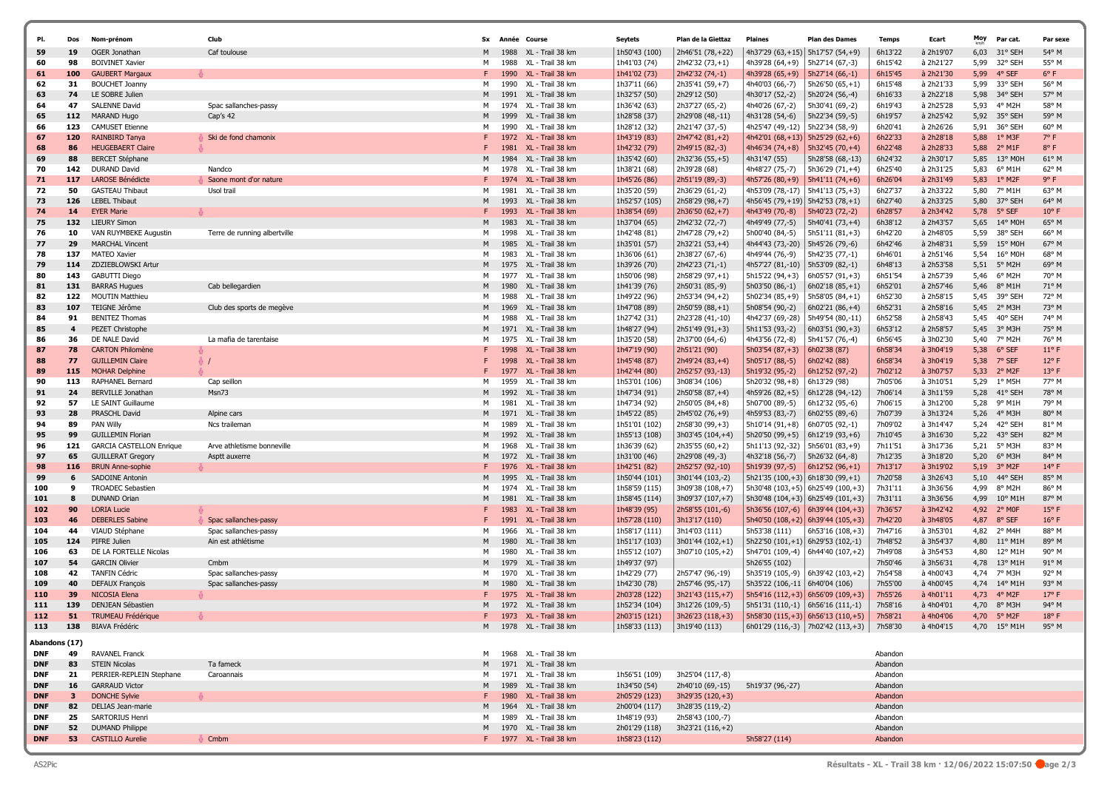|                          | Dos                     | Nom-prénom                                                  | Club                                        | <b>Sx</b> | Année        | Course                                           | <b>Seytets</b>                 | Plan de la Giettaz                                                                                            | <b>Plaines</b>                         | <b>Plan des Dames</b>                                                       | <b>Temps</b>       | Ecart                                            | Moy          | Par cat.                                | Par sexe                |
|--------------------------|-------------------------|-------------------------------------------------------------|---------------------------------------------|-----------|--------------|--------------------------------------------------|--------------------------------|---------------------------------------------------------------------------------------------------------------|----------------------------------------|-----------------------------------------------------------------------------|--------------------|--------------------------------------------------|--------------|-----------------------------------------|-------------------------|
| 59                       | 19                      | OGER Jonathan                                               | Caf toulouse                                |           | 1988         | XL - Trail 38 km                                 | 1h50'43 (100)                  | 2h46'51 (78, +22)                                                                                             | 4h37'29 (63,+15) 5h17'57 (54,+9)       |                                                                             | 6h13'22            | à 2h19'07                                        | 6,03         | 31° SEH                                 | 54° M                   |
| 60                       | 98                      | <b>BOIVINET Xavier</b>                                      |                                             | м         | 1988         | XL - Trail 38 km                                 | 1h41'03 (74)                   | 2h42'32 (73,+1)                                                                                               | 4h39'28 (64,+9)                        | 5h27'14 (67,-3)                                                             | 6h15'42            | à 2h21'27                                        | 5,99         | 32° SEH                                 | 55° M                   |
| 61                       | 100                     | <b>GAUBERT Margaux</b>                                      |                                             |           | 1990         | XL - Trail 38 km                                 | 1h41'02 (73)                   | 2h42'32 (74,-1)                                                                                               | 4h39'28 $(65, +9)$                     | $  5h27'14 (66,-1)$                                                         | 6h15'45            | à 2h21'30                                        | 5,99         | 4° SEF                                  | $6^{\circ}$ F           |
| 62<br>63                 | 31<br>74                | <b>BOUCHET Joanny</b><br>LE SOBRE Julien                    |                                             | м         | 1990<br>1991 | XL - Trail 38 km<br>XL - Trail 38 km             | 1h37'11 (66)                   | 2h35'41 (59,+7)                                                                                               | 4h40'03 (66,-7)<br>4h30'17 (52,-2)     | $5h26'50(65,+1)$                                                            | 6h15'48<br>6h16'33 | à 2h21'33                                        | 5,99<br>5,98 | 33° SEH<br>34° SEH                      | 56° M<br>57° M          |
| 64                       | 47                      | <b>SALENNE David</b>                                        | Spac sallanches-passy                       | м         | 1974         | XL - Trail 38 km                                 | 1h32'57 (50)<br>1h36'42 (63)   | 2h29'12 (50)<br>2h37'27 (65,-2)                                                                               | 4h40'26 (67,-2)                        | 5h20'24 (56,-4)<br>5h30'41 (69,-2)                                          | 6h19'43            | à 2h22'18<br>à 2h25'28                           | 5,93         | 4° M2H                                  | 58° M                   |
| 65                       | 112                     | MARAND Hugo                                                 | Cap's 42                                    | M         | 1999         | XL - Trail 38 km                                 | 1h28'58 (37)                   | 2h29'08 (48,-11)                                                                                              | 4h31'28 (54,-6)                        | 5h22'34 (59,-5)                                                             | 6h19'57            | à 2h25'42                                        | 5,92         | 35° SEH                                 | 59° M                   |
| 66                       | 123                     | <b>CAMUSET Etienne</b>                                      |                                             | м         | 1990         | XL - Trail 38 km                                 | 1h28'12 (32)                   | 2h21'47 (37,-5)                                                                                               | 4h25'47 (49,-12)                       | 5h22'34 (58,-9)                                                             | 6h20'41            | à 2h26'26                                        | 5,91         | 36° SEH                                 | $60^{\circ}$ M          |
| 67                       | 120                     | <b>RAINBIRD Tanya</b>                                       | Ski de fond chamonix                        |           | 1972         | XL - Trail 38 km                                 | 1h43'19 (83)                   | 2h47'42 (81,+2)                                                                                               | 4h42'01 $(68, +13)$ 5h25'29 $(62, +6)$ |                                                                             | 6h22'33            | à 2h28'18                                        | 5,88         | $1°$ M3F                                | $7^\circ$ F             |
| 68                       | 86                      | <b>HEUGEBAERT Claire</b>                                    |                                             |           | 1981         | XL - Trail 38 km                                 | 1h42'32 (79)                   | 2h49'15 (82,-3)                                                                                               | $4h46'34(74, +8)$                      | 5h32'45 (70,+4)                                                             | 6h22'48            | à 2h28'33                                        | 5,88         | $2^{\circ}$ M1F                         | $8^{\circ}$ F           |
| 69                       | 88                      | <b>BERCET Stéphane</b>                                      |                                             | M         | 1984         | XL - Trail 38 km                                 | 1h35'42 (60)                   | 2h32'36 (55,+5)                                                                                               | 4h31'47 (55)                           | 5h28'58 (68,-13)                                                            | 6h24'32            | à 2h30'17                                        | 5,85         | 13° MOH                                 | $61^{\circ}$ M          |
| 70                       | 142                     | <b>DURAND David</b>                                         | Nandco                                      | м         | 1978         | XL - Trail 38 km                                 | 1h38'21 (68)                   | 2h39'28 (68)                                                                                                  | 4h48'27 (75,-7)                        | 5h36'29 (71,+4)                                                             | 6h25'40            | à 2h31'25                                        | 5,83         | 6° M1H                                  | 62° M                   |
| 71                       | 117                     | <b>LAROSE Bénédicte</b>                                     | Saone mont d'or nature                      |           | 1974         | XL - Trail 38 km                                 | 1h45'26 (86)                   | 2h51'19 (89,-3)                                                                                               | $4h57'26(80,+9)$                       | 5h41'11 (74,+6)                                                             | 6h26'04            | à 2h31'49                                        | 5,83         | $1^{\circ}$ M2F                         | 9° F                    |
| 72                       | 50                      | <b>GASTEAU Thibaut</b>                                      | Usol trail                                  | м         | 1981         | XL - Trail 38 km                                 | 1h35'20 (59)                   | 2h36'29 (61,-2)                                                                                               | 4h53'09 (78,-17)                       | 5h41'13 (75,+3)                                                             | 6h27'37            | à 2h33'22                                        | 5,80         | 7° M1H                                  | 63° M                   |
| 73                       | 126                     | <b>LEBEL Thibaut</b>                                        |                                             | м         | 1993         | XL - Trail 38 km                                 | 1h52'57 (105)                  | 2h58'29 (98,+7)                                                                                               | 4h56'45 (79, +19)   5h42'53 (78, +1)   |                                                                             | 6h27'40            | à 2h33'25                                        | 5,80         | 37° SEH                                 | 64° M                   |
| 74                       | 14                      | <b>EYER Marie</b>                                           |                                             |           | 1993         | XL - Trail 38 km                                 | 1h38'54 (69)                   | 2h36'50 (62,+7)                                                                                               | 4h43'49 (70,-8)                        | 5h40'23 (72,-2)                                                             | 6h28'57            | à 2h34'42                                        | 5,78         | 5° SEF                                  | $10^{\circ}$ F          |
| 75                       | 132                     | <b>LIEURY Simon</b>                                         |                                             | м         | 1983         | XL - Trail 38 km                                 | 1h37'04 (65)                   | 2h42'32 (72,-7)                                                                                               | 4h49'49 (77,-5)                        | 5h40'41 (73,+4)                                                             | 6h38'12            | à 2h43'57                                        | 5,65         | $14^{\circ}$ MOH                        | 65° M                   |
| 76                       | 10                      | VAN RUYMBEKE Augustin                                       | Terre de running albertville                | м         | 1998         | XL - Trail 38 km                                 | 1h42'48 (81)                   | 2h47'28 (79,+2)                                                                                               | 5h00'40 (84,-5)                        | $5h51'11(81,+3)$                                                            | 6h42'20            | à 2h48'05                                        | 5,59         | 38° SEH                                 | 66° M                   |
| 77                       | 29                      | <b>MARCHAL Vincent</b>                                      |                                             | м         | 1985         | XL - Trail 38 km                                 | 1h35'01 (57)                   | 2h32'21 (53,+4)                                                                                               | 4h44'43 (73,-20)                       | 5h45'26 (79,-6)                                                             | 6h42'46            | à 2h48'31                                        | 5,59         | 15° MOH                                 | 67° M                   |
| 78                       | 137                     | <b>MATEO Xavier</b>                                         |                                             | м         | 1983         | XL - Trail 38 km                                 | 1h36'06 (61)                   | 2h38'27 (67,-6)                                                                                               | 4h49'44 (76,-9)                        | 5h42'35 (77,-1)                                                             | 6h46'01            | à 2h51'46                                        | 5,54         | 16° M0H                                 | 68° M                   |
| 79                       | 114                     | ZDZIEBLOWSKI Artur                                          |                                             | м         | 1975         | XL - Trail 38 km                                 | 1h39'26 (70)                   | 2h42'23 (71,-1)                                                                                               | 4h57'27 (81,-10)                       | 5h53'09 (82,-1)                                                             | 6h48'13            | à 2h53'58                                        | 5,51         | 5° M2H                                  | 69° M                   |
| 80                       | 143                     | <b>GABUTTI Diego</b>                                        | Cab bellegardien                            | м         | 1977         | XL - Trail 38 km<br>XL - Trail 38 km             | 1h50'06 (98)                   | 2h58'29 (97,+1)                                                                                               | 5h15'22 (94,+3)                        | $6h05'57(91,+3)$                                                            | 6h51'54            | à 2h57'39                                        | 5,46         | 6° M2H                                  | 70° M                   |
| 81<br>82                 | 131<br>122              | <b>BARRAS Hugues</b><br><b>MOUTIN Matthieu</b>              |                                             | M         | 1980<br>1988 | XL - Trail 38 km                                 | 1h41'39 (76)<br>1h49'22 (96)   | 2h50'31 (85,-9)<br>2h53'34 (94,+2)                                                                            | 5h03'50 (86,-1)<br>5h02'34 (85,+9)     | $6h02'18(85,+1)$<br>5h58'05 (84,+1)                                         | 6h52'01<br>6h52'30 | à 2h57'46<br>à 2h58'15                           | 5,46<br>5,45 | $8^{\circ}$ M1H<br>39° SEH              | 71° M<br>72° M          |
| 83                       | 107                     | TEIGNE Jérôme                                               | Club des sports de megève                   | м         | 1969         | XL - Trail 38 km                                 | 1h47'08 (89)                   | $2h50'59(88,+1)$                                                                                              | 5h08'54 (90,-2)                        | $6h02'21(86,+4)$                                                            | 6h52'31            | à 2h58'16                                        | 5,45         | 2° M3H                                  | 73° M                   |
| 84                       | 91                      | <b>BENITEZ Thomas</b>                                       |                                             | м         | 1988         | XL - Trail 38 km                                 | 1h27'42 (31)                   | 2h23'28 (41,-10)                                                                                              | 4h42'37 (69,-28)                       | 5h49'54 (80,-11)                                                            | 6h52'58            | à 2h58'43                                        | 5,45         | 40° SEH                                 | 74° M                   |
| 85                       | $\overline{\mathbf{4}}$ | PEZET Christophe                                            |                                             | м         | 1971         | XL - Trail 38 km                                 | 1h48'27 (94)                   | 2h51'49 (91,+3)                                                                                               | 5h11'53 (93,-2)                        | $6h03'51(90,+3)$                                                            | 6h53'12            | à 2h58'57                                        | 5,45         | 3° M3H                                  | 75° M                   |
| 86                       | 36                      | DE NALE David                                               | La mafia de tarentaise                      | м         | 1975         | XL - Trail 38 km                                 | 1h35'20 (58)                   | 2h37'00 (64,-6)                                                                                               | 4h43'56 (72,-8)                        | 5h41'57 (76,-4)                                                             | 6h56'45            | à 3h02'30                                        | 5,40         | 7° M2H                                  | 76° M                   |
| 87                       | 78                      | <b>CARTON Philomène</b>                                     |                                             |           | 1998         | XL - Trail 38 km                                 | 1h47'19 (90)                   | 2h51'21 (90)                                                                                                  | $5h03'54(87,+3)$                       | 6h02'38 (87)                                                                | 6h58'34            | à 3h04'19                                        | 5,38         | 6° SEF                                  | $11^{\circ}$ F          |
| 88                       | 77                      | <b>GUILLEMIN Claire</b>                                     | ♣ /                                         |           | 1998         | XL - Trail 38 km                                 | 1h45'48 (87)                   | 2h49'24 (83, +4)                                                                                              | 5h05'17 (88,-5)                        | 6h02'42 (88)                                                                | 6h58'34            | à 3h04'19                                        | 5,38         | 7° SEF                                  | $12^{\circ}$ F          |
| 89                       | 115                     | <b>MOHAR Delphine</b>                                       |                                             |           | 1977         | XL - Trail 38 km                                 | 1h42'44 (80)                   | 2h52'57 (93,-13)                                                                                              | 5h19'32 (95,-2)                        | 6h12'52 (97,-2)                                                             | 7h02'12            | à 3h07'57                                        | 5,33         | 2° M2F                                  | $13°$ F                 |
| 90                       | 113                     | RAPHANEL Bernard                                            | Cap seillon                                 | м         | 1959         | XL - Trail 38 km                                 | 1h53'01 (106)                  | 3h08'34 (106)                                                                                                 | 5h20'32 (98,+8)                        | 6h13'29 (98)                                                                | 7h05'06            | à 3h10'51                                        | 5,29         | $1^{\circ}$ M5H                         | 77° M                   |
| 91                       | 24                      | <b>BERVILLE Jonathan</b>                                    | Msn73                                       | M         | 1992         | XL - Trail 38 km                                 | 1h47'34 (91)                   | 2h50'58 (87,+4)                                                                                               | 4h59'26 (82,+5)                        | 6h12'28 (94,-12)                                                            | 7h06'14            | à 3h11'59                                        | 5,28         | 41° SEH                                 | 78° M                   |
| 92                       | 57                      | LE SAINT Guillaume                                          |                                             | м         | 1981         | XL - Trail 38 km                                 | 1h47'34 (92)                   | 2h50'05 (84,+8)                                                                                               | 5h07'00 (89,-5)                        | 6h12'32 (95,-6)                                                             | 7h06'15            | à 3h12'00                                        | 5,28         | 9° M1H                                  | 79° M                   |
| 93                       | 28                      | PRASCHL David                                               | Alpine cars                                 | M         | 1971         | XL - Trail 38 km                                 | 1h45'22 (85)                   | 2h45'02 (76,+9)                                                                                               | 4h59'53 (83,-7)                        | 6h02'55 (89,-6)                                                             | 7h07'39            | à 3h13'24                                        | 5,26         | 4° M3H                                  | 80° M                   |
| 94                       | 89                      | <b>PAN Willy</b>                                            | Ncs trailemar                               | M         | 1989         | XL - Trail 38 km                                 | 1h51'01 (102)                  | 2h58'30 (99,+3)                                                                                               | 5h10'14 (91,+8)                        | 6h07'05 (92,-1)                                                             | 7h09'02            | à 3h14'47                                        | 5,24         | 42° SEH                                 | 81° M                   |
| 95<br>96                 | 99<br>121               | <b>GUILLEMIN Florian</b><br><b>GARCIA CASTELLON Enrique</b> |                                             | м         | 1992<br>1968 | XL - Trail 38 km<br>XL - Trail 38 km             | 1h55'13 (108)                  | 3h03'45 (104,+4)                                                                                              | 5h20'50 (99,+5)                        | 6h12'19 (93,+6)                                                             | 7h10'45            | à 3h16'30                                        | 5,22<br>5,21 | 43° SEH<br>5° M3H                       | 82° M<br>83° M          |
| 97                       | 65                      | <b>GUILLERAT Gregory</b>                                    | Arve athletisme bonneville<br>Asptt auxerre | M         | 1972         | XL - Trail 38 km                                 | 1h36'39 (62)<br>1h31'00 (46)   | 2h35'55 (60,+2)<br>2h29'08 (49,-3)                                                                            | 5h11'13 (92,-32)<br>4h32'18 (56,-7)    | 5h56'01 (83,+9)<br>5h26'32 (64,-8)                                          | 7h11'51<br>7h12'35 | à 3h17'36<br>à 3h18'20                           | 5,20         | 6° M3H                                  | 84° M                   |
| 98                       | 116                     | <b>BRUN Anne-sophie</b>                                     |                                             |           | 1976         | XL - Trail 38 km                                 | 1h42'51 (82)                   | 2h52'57 (92,-10)                                                                                              | 5h19'39 (97,-5)                        | 6h12'52 $(96, +1)$                                                          | 7h13'17            | à 3h19'02                                        | 5,19         | $3°$ M2F                                | $14^{\circ}$ F          |
| 99                       | 6                       | <b>SADOINE Antonin</b>                                      |                                             |           | 1995         | XL - Trail 38 km                                 | 1h50'44 (101)                  | 3h01'44 (103,-2)                                                                                              | $5h21'35(100,+3)$ 6h18'30 (99,+1)      |                                                                             | 7h20'58            | à 3h26'43                                        | 5,10         | 44° SEH                                 | 85° M                   |
| 100                      | 9                       | <b>TROADEC Sebastien</b>                                    |                                             | м         | 1974         | XL - Trail 38 km                                 | 1h58'59 (115)                  | 3h09'38 (108,+7)                                                                                              |                                        | $5h30'48(103,+5)$ 6h25'49 (100,+3)                                          | 7h31'11            | à 3h36'56                                        | 4,99         | 8° M2H                                  | 86° M                   |
| 101                      | 8                       | <b>DUNAND Orian</b>                                         |                                             | м         | 1981         | XL - Trail 38 km                                 | 1h58'45 (114)                  | 3h09'37 (107,+7)                                                                                              |                                        | $5h30'48(104,+3)$ 6h25'49 (101,+3)                                          | 7h31'11            | à 3h36'56                                        | 4,99         | $10^{\circ}$ M1H                        | 87° M                   |
| 102                      | 90                      | <b>LORIA Lucie</b>                                          |                                             |           | 1983         | XL - Trail 38 km                                 | 1h48'39 (95)                   | 2h58'55 (101,-6)                                                                                              |                                        | 5h36'56 (107,-6)   6h39'44 (104,+3)                                         | 7h36'57            | à 3h42'42                                        | 4,92         | 2° MOF                                  | $15°$ F                 |
| 103                      | 46                      | <b>DEBERLES Sabine</b>                                      | Spac sallanches-passy                       |           | 1991         | XL - Trail 38 km                                 | 1h57'28 (110)                  | 3h13'17 (110)                                                                                                 |                                        | $5h40'50(108,+2)$ 6h39'44 (105,+3)                                          | 7h42'20            | à 3h48'05                                        | 4,87         | 8° SEF                                  | $16^{\circ}$ F          |
| 104                      | 44                      | VIAUD Stéphane                                              | Spac sallanches-passy                       | м         | 1966         | XL - Trail 38 km                                 | 1h58'17 (111)                  | 3h14'03 (111)                                                                                                 | 5h53'38 (111)                          | 6h53'16 (108,+3)                                                            | 7h47'16            | à 3h53'01                                        | 4,82         | 2° M4H                                  | 88° M                   |
| 105                      | 124                     | PIFRE Julien                                                | Ain est athlétisme                          | м         | 1980         | XL - Trail 38 km                                 | 1h51'17 (103)                  | 3h01'44 (102,+1)                                                                                              |                                        | $5h22'50(101,+1)$ 6h29'53 (102,-1)                                          | 7h48'52            | à 3h54'37                                        | 4,80         | $11^{\circ}$ M1H                        | 89° M                   |
| 106                      | 63                      | DE LA FORTELLE Nicolas                                      |                                             | м         | 1980         | XL - Trail 38 km                                 | 1h55'12 (107)                  | 3h07'10 (105,+2)                                                                                              |                                        | 5h47'01 (109,-4)   6h44'40 (107,+2)                                         | 7h49'08            | à 3h54'53                                        | 4,80         | 12° M1H                                 | $90^{\circ}$ M          |
| 107                      | 54                      | <b>GARCIN Olivier</b>                                       | Cmbm                                        |           | 1979         | XL - Trail 38 km                                 | 1h49'37 (97)                   |                                                                                                               | 5h26'55 (102)                          |                                                                             | 7h50'46            | à 3h56'31                                        | 4,78         | 13° M1H                                 | $91^{\circ}$ M          |
| 108                      | 42<br>40                | <b>TANFIN Cédric</b>                                        | Spac sallanches-passy                       | M<br>м    | 1970<br>1980 | XL - Trail 38 km<br>XL - Trail 38 km             | 1h42'29 (77)                   | 2h57'47 (96,-19)                                                                                              | 5h35'19 (105,-9)                       | $  6h39'42 (103,+2)$                                                        | 7h54'58            | à 4h00'43                                        | 4,74         | 7° M3H                                  | 92° M                   |
| 109<br>110               | 39                      | DEFAUX François<br>NICOSIA Elena                            | Spac sallanches-passy                       |           | 1975         | XL - Trail 38 km                                 | 1h42'30 (78)                   | 2h57'46 (95,-17)                                                                                              | 5h35'22 (106,-11   6h40'04 (106)       |                                                                             | 7h55'00<br>7h55'26 | à 4h00'45<br>$a$ 4h01'11                         | 4,74<br>4,73 | 14° M1H<br>$4^{\circ}$ M <sub>2</sub> F | 93° M<br>$17^{\circ}$ F |
| 111                      | 139                     | DENJEAN Sébastien                                           |                                             | м         |              | 1972 XL - Trail 38 km                            | 2h03'28 (122)<br>1h52'34 (104) | 3h21'43 (115, +7)<br>3h12'26 (109,-5)                                                                         |                                        | $5h54'16(112,+3)$ 6h56'09 (109,+3)<br>$5h51'31 (110,-1)$   6h56'16 (111,-1) | 7h58'16            | à 4h04'01                                        | 4,70         | 8° M3H                                  | 94° M                   |
| 112                      | 51                      | TRUMEAU Frédérique                                          |                                             | F         |              | 1973 XL - Trail 38 km                            | 2h03'15 (121)                  | 3h26'23 (118,+3)                                                                                              |                                        | $5h58'30(115,+3)$ 6h56'13 (110,+5)                                          | 7h58'21            | à 4h04'06                                        | 4,70         | $5^{\circ}$ M2F                         | $18^{\circ}$ F          |
|                          |                         | 113 138 BIAVA Frédéric                                      |                                             |           |              | M 1978 XL - Trail 38 km                          |                                | $\vert$ 1h58'33 (113) $\vert$ 3h19'40 (113) $\vert$ 6h01'29 (116,-3) $\vert$ 7h02'42 (113,+3) $\vert$ 7h58'30 |                                        |                                                                             |                    | à 4h04'15          4,70     15° M1H        95° M |              |                                         |                         |
|                          |                         |                                                             |                                             |           |              |                                                  |                                |                                                                                                               |                                        |                                                                             |                    |                                                  |              |                                         |                         |
| Abandons (17)            |                         |                                                             |                                             |           |              |                                                  |                                |                                                                                                               |                                        |                                                                             |                    |                                                  |              |                                         |                         |
| <b>DNF</b>               |                         | 49 RAVANEL Franck                                           |                                             |           |              | M 1968 XL - Trail 38 km                          |                                |                                                                                                               |                                        |                                                                             | Abandon            |                                                  |              |                                         |                         |
| <b>DNF</b>               | 83                      | <b>STEIN Nicolas</b>                                        | Ta fameck                                   |           |              | 1971 XL - Trail 38 km                            |                                |                                                                                                               |                                        |                                                                             | Abandon            |                                                  |              |                                         |                         |
| <b>DNF</b>               | 21                      | PERRIER-REPLEIN Stephane                                    | Caroannais                                  | M         |              | 1971 XL - Trail 38 km                            | 1h56'51 (109)                  | 3h25'04 (117,-8)                                                                                              |                                        |                                                                             | Abandon            |                                                  |              |                                         |                         |
| <b>DNF</b><br><b>DNF</b> | 16<br>3 <sup>7</sup>    | <b>GARRAUD Victor</b><br><b>DONCHE Sylvie</b>               |                                             |           |              | M 1989 XL - Trail 38 km<br>1980 XL - Trail 38 km | 1h34'50 (54)<br>2h05'29 (123)  | 2h40'10 (69,-15)<br>3h29'35 (120,+3)                                                                          | 5h19'37 (96,-27)                       |                                                                             | Abandon<br>Abandon |                                                  |              |                                         |                         |
| <b>DNF</b>               |                         | 82 DELIAS Jean-marie                                        |                                             |           |              | 1964 XL - Trail 38 km                            | 2h00'04 (117)                  | 3h28'35 (119,-2)                                                                                              |                                        |                                                                             | Abandon            |                                                  |              |                                         |                         |
| <b>DNF</b>               | 25                      | SARTORIUS Henri                                             |                                             |           |              | M 1989 XL - Trail 38 km                          | 1h48'19 (93)                   | 2h58'43 (100,-7)                                                                                              |                                        |                                                                             | Abandon            |                                                  |              |                                         |                         |
| <b>DNF</b>               | 52                      | <b>DUMAND Philippe</b>                                      |                                             | M         |              | 1970 XL - Trail 38 km                            | 2h01'29 (118)                  | 3h23'21 (116,+2)                                                                                              |                                        |                                                                             | Abandon            |                                                  |              |                                         |                         |
| <b>DNF</b>               |                         | 53 CASTILLO Aurelie                                         | <b>&amp; Cmbm</b>                           |           |              | F 1977 XL - Trail 38 km                          | 1h58'23 (112)                  |                                                                                                               | 5h58'27 (114)                          |                                                                             | Abandon            |                                                  |              |                                         |                         |